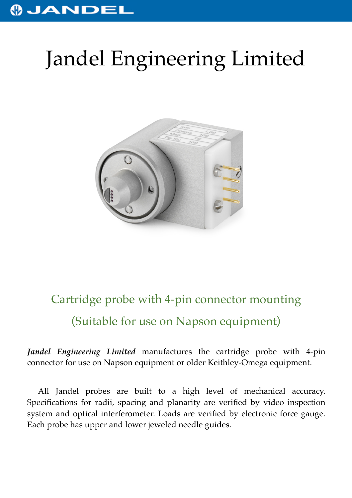## **OJANDEI**

## Jandel Engineering Limited



## Cartridge probe with 4-pin connector mounting (Suitable for use on Napson equipment)

*Jandel Engineering Limited* manufactures the cartridge probe with 4-pin connector for use on Napson equipment or older Keithley-Omega equipment.

All Jandel probes are built to a high level of mechanical accuracy. Specifications for radii, spacing and planarity are verified by video inspection system and optical interferometer. Loads are verified by electronic force gauge. Each probe has upper and lower jeweled needle guides.